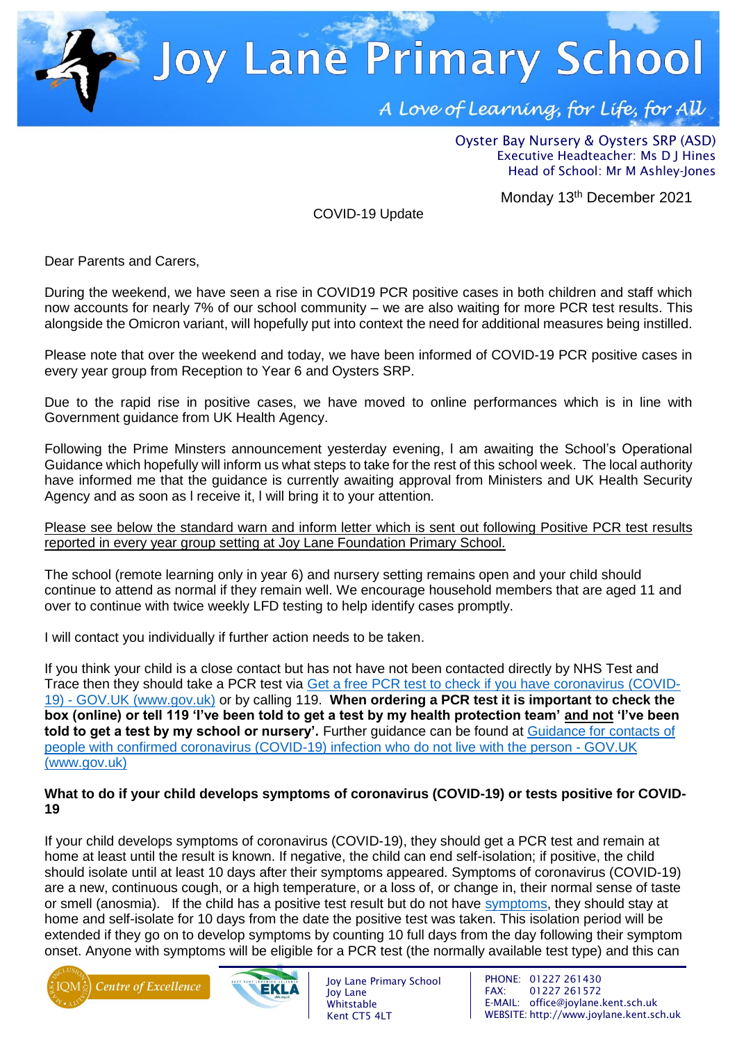**Joy Lane Primary School** 

A Love of Learning, for Life, for All

Oyster Bay Nursery & Oysters SRP (ASD) Executive Headteacher: Ms D J Hines Head of School: Mr M Ashley-Jones

Monday 13<sup>th</sup> December 2021

COVID-19 Update

Dear Parents and Carers,

During the weekend, we have seen a rise in COVID19 PCR positive cases in both children and staff which now accounts for nearly 7% of our school community – we are also waiting for more PCR test results. This alongside the Omicron variant, will hopefully put into context the need for additional measures being instilled.

Please note that over the weekend and today, we have been informed of COVID-19 PCR positive cases in every year group from Reception to Year 6 and Oysters SRP.

Due to the rapid rise in positive cases, we have moved to online performances which is in line with Government guidance from UK Health Agency.

Following the Prime Minsters announcement yesterday evening, l am awaiting the School's Operational Guidance which hopefully will inform us what steps to take for the rest of this school week. The local authority have informed me that the guidance is currently awaiting approval from Ministers and UK Health Security Agency and as soon as l receive it, l will bring it to your attention.

Please see below the standard warn and inform letter which is sent out following Positive PCR test results reported in every year group setting at Joy Lane Foundation Primary School.

The school (remote learning only in year 6) and nursery setting remains open and your child should continue to attend as normal if they remain well. We encourage household members that are aged 11 and over to continue with twice weekly LFD testing to help identify cases promptly.

I will contact you individually if further action needs to be taken.

If you think your child is a close contact but has not have not been contacted directly by NHS Test and Trace then they should take a PCR test via [Get a free PCR test to check if you have coronavirus \(COVID-](https://www.gov.uk/get-coronavirus-test)19) - [GOV.UK \(www.gov.uk\)](https://www.gov.uk/get-coronavirus-test) or by calling 119. **When ordering a PCR test it is important to check the box (online) or tell 119 'I've been told to get a test by my health protection team' and not 'I've been told to get a test by my school or nursery'.** Further guidance can be found at [Guidance for contacts of](https://www.gov.uk/government/publications/guidance-for-contacts-of-people-with-possible-or-confirmed-coronavirus-covid-19-infection-who-do-not-live-with-the-person/guidance-for-contacts-of-people-with-possible-or-confirmed-coronavirus-covid-19-infection-who-do-not-live-with-the-person#i-think-i-have-had-contact-with-someone-who-has-tested-positive-for-covid-19-but-i-have-not-been-notified-and-advised-to-self-isolate-what-should-i-do)  [people with confirmed coronavirus \(COVID-19\) infection who do not live with the person -](https://www.gov.uk/government/publications/guidance-for-contacts-of-people-with-possible-or-confirmed-coronavirus-covid-19-infection-who-do-not-live-with-the-person/guidance-for-contacts-of-people-with-possible-or-confirmed-coronavirus-covid-19-infection-who-do-not-live-with-the-person#i-think-i-have-had-contact-with-someone-who-has-tested-positive-for-covid-19-but-i-have-not-been-notified-and-advised-to-self-isolate-what-should-i-do) GOV.UK [\(www.gov.uk\)](https://www.gov.uk/government/publications/guidance-for-contacts-of-people-with-possible-or-confirmed-coronavirus-covid-19-infection-who-do-not-live-with-the-person/guidance-for-contacts-of-people-with-possible-or-confirmed-coronavirus-covid-19-infection-who-do-not-live-with-the-person#i-think-i-have-had-contact-with-someone-who-has-tested-positive-for-covid-19-but-i-have-not-been-notified-and-advised-to-self-isolate-what-should-i-do)

# **What to do if your child develops symptoms of coronavirus (COVID-19) or tests positive for COVID-19**

If your child develops symptoms of coronavirus (COVID-19), they should get a PCR test and remain at home at least until the result is known. If negative, the child can end self-isolation; if positive, the child should isolate until at least 10 days after their symptoms appeared. Symptoms of coronavirus (COVID-19) are a new, continuous cough, or a high temperature, or a loss of, or change in, their normal sense of taste or smell (anosmia). If the child has a positive test result but do not have [symptoms,](https://www.gov.uk/government/publications/covid-19-stay-at-home-guidance/stay-at-home-guidance-for-households-with-possible-coronavirus-covid-19-infection#symptoms) they should stay at home and self-isolate for 10 days from the date the positive test was taken. This isolation period will be extended if they go on to develop symptoms by counting 10 full days from the day following their symptom onset. Anyone with symptoms will be eligible for a PCR test (the normally available test type) and this can





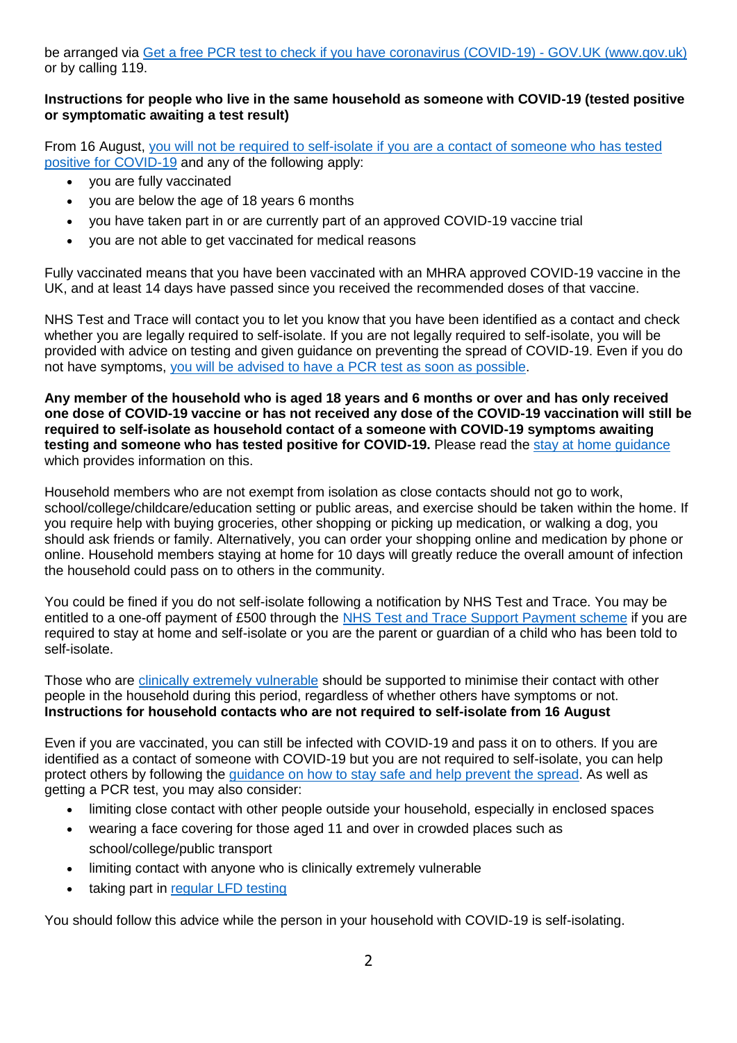be arranged via [Get a free PCR test to check if you have coronavirus \(COVID-19\) -](https://www.gov.uk/get-coronavirus-test) GOV.UK (www.gov.uk) or by calling 119.

# **Instructions for people who live in the same household as someone with COVID-19 (tested positive or symptomatic awaiting a test result)**

From 16 August, [you will not be required to self-isolate if you are a contact of someone who has tested](https://www.gov.uk/government/publications/covid-19-stay-at-home-guidance/stay-at-home-guidance-for-households-with-possible-coronavirus-covid-19-infection#exempt)  [positive for COVID-19](https://www.gov.uk/government/publications/covid-19-stay-at-home-guidance/stay-at-home-guidance-for-households-with-possible-coronavirus-covid-19-infection#exempt) and any of the following apply:

- you are fully vaccinated
- you are below the age of 18 years 6 months
- you have taken part in or are currently part of an approved COVID-19 vaccine trial
- you are not able to get vaccinated for medical reasons

Fully vaccinated means that you have been vaccinated with an MHRA approved COVID-19 vaccine in the UK, and at least 14 days have passed since you received the recommended doses of that vaccine.

NHS Test and Trace will contact you to let you know that you have been identified as a contact and check whether you are legally required to self-isolate. If you are not legally required to self-isolate, you will be provided with advice on testing and given guidance on preventing the spread of COVID-19. Even if you do not have symptoms, [you will be advised to have a](https://www.gov.uk/government/publications/covid-19-stay-at-home-guidance/stay-at-home-guidance-for-households-with-possible-coronavirus-covid-19-infection#PCR) PCR test as soon as possible.

**Any member of the household who is aged 18 years and 6 months or over and has only received one dose of COVID-19 vaccine or has not received any dose of the COVID-19 vaccination will still be required to self-isolate as household contact of a someone with COVID-19 symptoms awaiting testing and someone who has tested positive for COVID-19.** Please read the [stay at home guidance](https://www.gov.uk/government/publications/covid-19-stay-at-home-guidance) which provides information on this.

Household members who are not exempt from isolation as close contacts should not go to work, school/college/childcare/education setting or public areas, and exercise should be taken within the home. If you require help with buying groceries, other shopping or picking up medication, or walking a dog, you should ask friends or family. Alternatively, you can order your shopping online and medication by phone or online. Household members staying at home for 10 days will greatly reduce the overall amount of infection the household could pass on to others in the community.

You could be fined if you do not self-isolate following a notification by NHS Test and Trace. You may be entitled to a one-off payment of £500 through the [NHS Test and Trace Support Payment scheme](https://www.gov.uk/government/publications/test-and-trace-support-payment-scheme-claiming-financial-support/claiming-financial-support-under-the-test-and-trace-support-payment-scheme) if you are required to stay at home and self-isolate or you are the parent or guardian of a child who has been told to self-isolate.

Those who are [clinically extremely vulnerable](https://www.gov.uk/government/publications/guidance-on-shielding-and-protecting-extremely-vulnerable-persons-from-covid-19/guidance-on-shielding-and-protecting-extremely-vulnerable-persons-from-covid-19) should be supported to minimise their contact with other people in the household during this period, regardless of whether others have symptoms or not. **Instructions for household contacts who are not required to self-isolate from 16 August**

Even if you are vaccinated, you can still be infected with COVID-19 and pass it on to others. If you are identified as a contact of someone with COVID-19 but you are not required to self-isolate, you can help protect others by following the [guidance on how to stay safe and help prevent the spread.](https://www.gov.uk/guidance/covid-19-coronavirus-restrictions-what-you-can-and-cannot-do#keeping-yourself-and-others-safe) As well as getting a PCR test, you may also consider:

- limiting close contact with other people outside your household, especially in enclosed spaces
- wearing a face covering for those aged 11 and over in crowded places such as school/college/public transport
- limiting contact with anyone who is clinically extremely vulnerable
- taking part in [regular](https://www.gov.uk/order-coronavirus-rapid-lateral-flow-tests) LFD testing

You should follow this advice while the person in your household with COVID-19 is self-isolating.